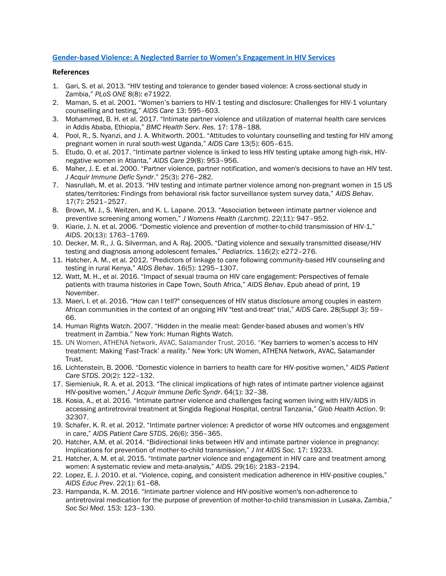## **[Gender-based Violence: A Neglected Barrier to Women](http://www.popcouncil.org/news/gender-based-violence-a-neglected-barrier-to-womens-engagement-in-hiv-servi)'s Engagement in HIV Services**

## **References**

- 1. Gari, S. et al. 2013. "HIV testing and tolerance to gender based violence: A cross-sectional study in Zambia," *PLoS ONE* 8(8): e71922.
- 2. Maman, S. et al. 2001. "Women's barriers to HIV-1 testing and disclosure: Challenges for HIV-1 voluntary counselling and testing," *AIDS Care* 13: 595–603.
- 3. Mohammed, B. H. et al. 2017. "Intimate partner violence and utilization of maternal health care services in Addis Ababa, Ethiopia," *BMC Health Serv. Res.* 17: 178–188.
- 4. Pool, R., S. Nyanzi, and J. A. Whitworth. 2001. "Attitudes to voluntary counselling and testing for HIV among pregnant women in rural south-west Uganda," *AIDS Care* 13(5): 605–615.
- 5. Etudo, O. et al. 2017. "Intimate partner violence is linked to less HIV testing uptake among high-risk, HIVnegative women in Atlanta," *AIDS Care* 29(8): 953–956.
- 6. Maher, J. E. et al. 2000. "Partner violence, partner notification, and women's decisions to have an HIV test. *J Acquir Immune Defic Syndr*." 25(3): 276–282.
- 7. Nasrullah, M. et al. 2013. "HIV testing and intimate partner violence among non-pregnant women in 15 US states/territories: Findings from behavioral risk factor surveillance system survey data," *AIDS Behav*. 17(7): 2521–2527.
- 8. Brown, M. J., S. Weitzen, and K. L. Lapane. 2013. "Association between intimate partner violence and preventive screening among women," *J Womens Health (Larchmt)*. 22(11): 947–952.
- 9. Kiarie, J. N. et al. 2006. "Domestic violence and prevention of mother-to-child transmission of HIV-1," *AIDS*. 20(13): 1763–1769.
- 10. Decker, M. R., J. G. Silverman, and A. Raj. 2005. "Dating violence and sexually transmitted disease/HIV testing and diagnosis among adolescent females," *Pediatrics*. 116(2): e272–276.
- 11. Hatcher, A. M., et al. 2012. "Predictors of linkage to care following community-based HIV counseling and testing in rural Kenya," *AIDS Behav*. 16(5): 1295–1307.
- 12. Watt, M. H., et al. 2016. "Impact of sexual trauma on HIV care engagement: Perspectives of female patients with trauma histories in Cape Town, South Africa," *AIDS Behav*. Epub ahead of print, 19 November.
- 13. Maeri, I. et al. 2016. "How can I tell?" consequences of HIV status disclosure among couples in eastern African communities in the context of an ongoing HIV "test-and-treat" trial," *AIDS Care*. 28(Suppl 3): 59– 66.
- 14. Human Rights Watch. 2007. "Hidden in the mealie meal: Gender-based abuses and women's HIV treatment in Zambia." New York: Human Rights Watch.
- 15. UN Women, ATHENA Network, AVAC, Salamander Trust. 2016. "Key barriers to women's access to HIV treatment: Making 'Fast-Track' a reality." New York: UN Women, ATHENA Network, AVAC, Salamander Trust.
- 16. Lichtenstein, B. 2006. "Domestic violence in barriers to health care for HIV-positive women," *AIDS Patient Care STDS*. 20(2): 122–132.
- 17. Siemieniuk, R. A. et al. 2013. "The clinical implications of high rates of intimate partner violence against HIV-positive women," *J Acquir Immune Defic Syndr*. 64(1): 32–38.
- 18. Kosia, A., et al. 2016. "Intimate partner violence and challenges facing women living with HIV/AIDS in accessing antiretroviral treatment at Singida Regional Hospital, central Tanzania," *Glob Health Action*. 9: 32307.
- 19. Schafer, K. R. et al. 2012. "Intimate partner violence: A predictor of worse HIV outcomes and engagement in care," *AIDS Patient Care STDS*. 26(6): 356–365.
- 20. Hatcher, A.M. et al. 2014. "Bidirectional links between HIV and intimate partner violence in pregnancy: Implications for prevention of mother-to-child transmission," *J Int AIDS Soc*. 17: 19233.
- 21. Hatcher, A. M. et al. 2015. "Intimate partner violence and engagement in HIV care and treatment among women: A systematic review and meta-analysis," *AIDS*. 29(16): 2183–2194.
- 22. Lopez, E. J. 2010. et al. "Violence, coping, and consistent medication adherence in HIV-positive couples," *AIDS Educ Prev*. 22(1): 61–68.
- 23. Hampanda, K. M. 2016. "Intimate partner violence and HIV-positive women's non-adherence to antiretroviral medication for the purpose of prevention of mother-to-child transmission in Lusaka, Zambia," *Soc Sci Med*. 153: 123–130.